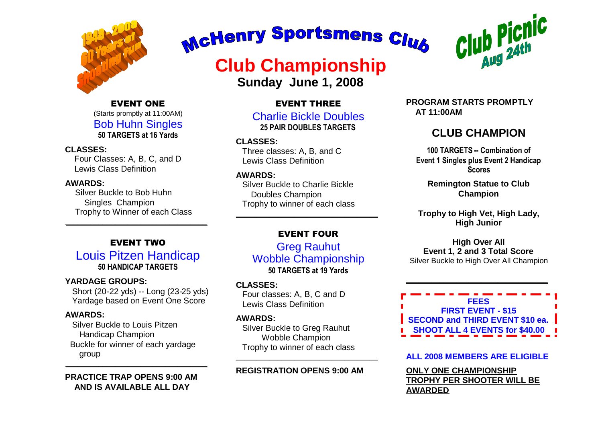

EVENT ONE (Starts promptly at 11:00AM) Bob Huhn Singles **50 TARGETS at 16 Yards**

#### **CLASSES:**

Four Classes: A, B, C, and D Lewis Class Definition

#### **AWARDS:**

Silver Buckle to Bob Huhn Singles Champion Trophy to Winner of each Class

#### EVENT TWO

\_\_\_\_\_\_\_\_\_\_\_\_\_\_\_\_\_\_\_\_\_\_\_\_\_\_\_\_\_\_\_\_\_\_

Louis Pitzen Handicap **50 HANDICAP TARGETS**

#### **YARDAGE GROUPS:**

Short (20-22 yds) -- Long (23-25 yds) Yardage based on Event One Score

#### **AWARDS:**

Silver Buckle to Louis Pitzen Handicap Champion Buckle for winner of each yardage group  $\overline{\phantom{a}}$  , and the set of the set of the set of the set of the set of the set of the set of the set of the set of the set of the set of the set of the set of the set of the set of the set of the set of the set of the s

**PRACTICE TRAP OPENS 9:00 AM AND IS AVAILABLE ALL DAY**

# McHenry Sportsmens Club

### **Club Championship**

**Sunday June 1, 2008**

#### EVENT THREE

Charlie Bickle Doubles **25 PAIR DOUBLES TARGETS**

**CLASSES:** Three classes: A, B, and C

Lewis Class Definition

#### **AWARDS:**

Silver Buckle to Charlie Bickle Doubles Champion Trophy to winner of each class

#### EVENT FOUR

 $\overline{\phantom{a}}$  , and the contract of the contract of the contract of the contract of the contract of the contract of the contract of the contract of the contract of the contract of the contract of the contract of the contrac

Greg Rauhut Wobble Championship **50 TARGETS at 19 Yards**

#### **CLASSES:**

Four classes: A, B, C and D Lewis Class Definition

#### **AWARDS:**

Silver Buckle to Greg Rauhut Wobble Champion Trophy to winner of each class

#### **REGISTRATION OPENS 9:00 AM**

\_\_\_\_\_\_\_\_\_\_\_\_\_\_\_\_\_\_\_\_\_\_\_\_\_\_\_\_\_\_\_\_\_\_



**PROGRAM STARTS PROMPTLY AT 11:00AM**

#### **CLUB CHAMPION**

**100 TARGETS -- Combination of Event 1 Singles plus Event 2 Handicap Scores**

**Remington Statue to Club Champion**

**Trophy to High Vet, High Lady, High Junior**

#### **High Over All Event 1, 2 and 3 Total Score** Silver Buckle to High Over All Champion

**FEES FIRST EVENT - \$15 SECOND and THIRD EVENT \$10 ea. SHOOT ALL 4 EVENTS for \$40.00**

\_\_\_\_\_\_\_\_\_\_\_\_\_\_\_\_\_\_\_\_\_\_\_\_\_\_\_\_\_\_\_\_\_\_

#### **ALL 2008 MEMBERS ARE ELIGIBLE**

**ONLY ONE CHAMPIONSHIP TROPHY PER SHOOTER WILL BE AWARDED**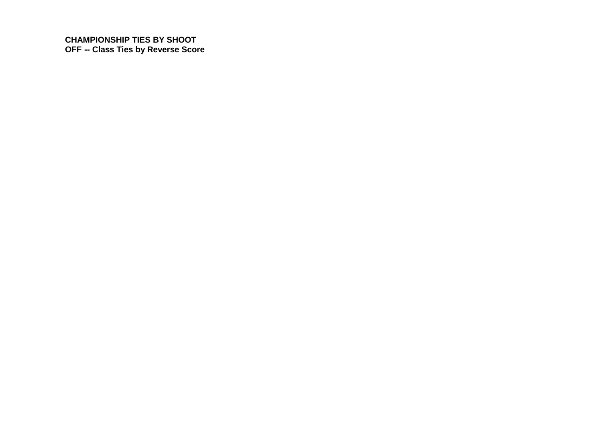**CHAMPIONSHIP TIES BY SHOOT OFF -- Class Ties by Reverse Score**